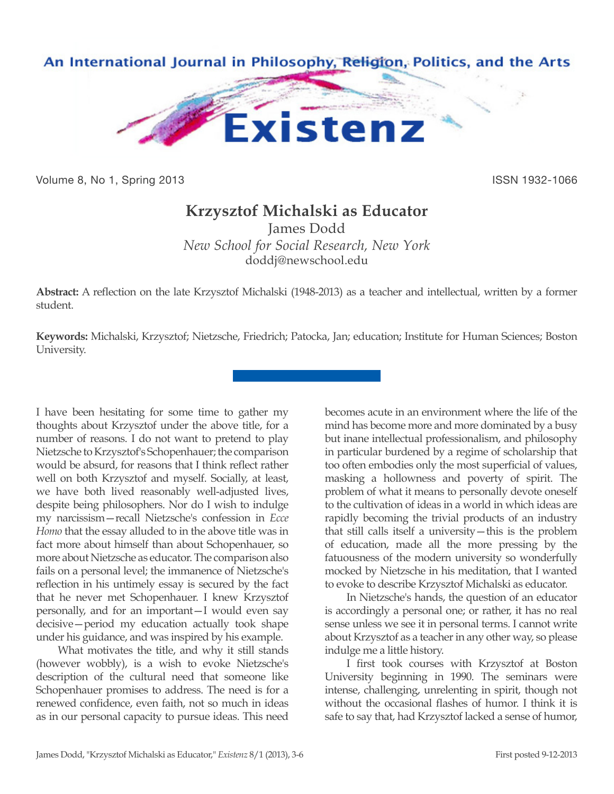

Volume 8, No 1, Spring 2013 **ISSN 1932-1066** ISSN 1932-1066

## **Krzysztof Michalski as Educator**

James Dodd *New School for Social Research, New York* doddj@newschool.edu

**Abstract:** A reflection on the late Krzysztof Michalski (1948-2013) as a teacher and intellectual, written by a former student.

**Keywords:** Michalski, Krzysztof; Nietzsche, Friedrich; Patocka, Jan; education; Institute for Human Sciences; Boston University.

I have been hesitating for some time to gather my thoughts about Krzysztof under the above title, for a number of reasons. I do not want to pretend to play Nietzsche to Krzysztof's Schopenhauer; the comparison would be absurd, for reasons that I think reflect rather well on both Krzysztof and myself. Socially, at least, we have both lived reasonably well-adjusted lives, despite being philosophers. Nor do I wish to indulge my narcissism—recall Nietzsche's confession in *Ecce Homo* that the essay alluded to in the above title was in fact more about himself than about Schopenhauer, so more about Nietzsche as educator. The comparison also fails on a personal level; the immanence of Nietzsche's reflection in his untimely essay is secured by the fact that he never met Schopenhauer. I knew Krzysztof personally, and for an important—I would even say decisive—period my education actually took shape under his guidance, and was inspired by his example.

What motivates the title, and why it still stands (however wobbly), is a wish to evoke Nietzsche's description of the cultural need that someone like Schopenhauer promises to address. The need is for a renewed confidence, even faith, not so much in ideas as in our personal capacity to pursue ideas. This need

becomes acute in an environment where the life of the mind has become more and more dominated by a busy but inane intellectual professionalism, and philosophy in particular burdened by a regime of scholarship that too often embodies only the most superficial of values, masking a hollowness and poverty of spirit. The problem of what it means to personally devote oneself to the cultivation of ideas in a world in which ideas are rapidly becoming the trivial products of an industry that still calls itself a university—this is the problem of education, made all the more pressing by the fatuousness of the modern university so wonderfully mocked by Nietzsche in his meditation, that I wanted to evoke to describe Krzysztof Michalski as educator.

In Nietzsche's hands, the question of an educator is accordingly a personal one; or rather, it has no real sense unless we see it in personal terms. I cannot write about Krzysztof as a teacher in any other way, so please indulge me a little history.

I first took courses with Krzysztof at Boston University beginning in 1990. The seminars were intense, challenging, unrelenting in spirit, though not without the occasional flashes of humor. I think it is safe to say that, had Krzysztof lacked a sense of humor,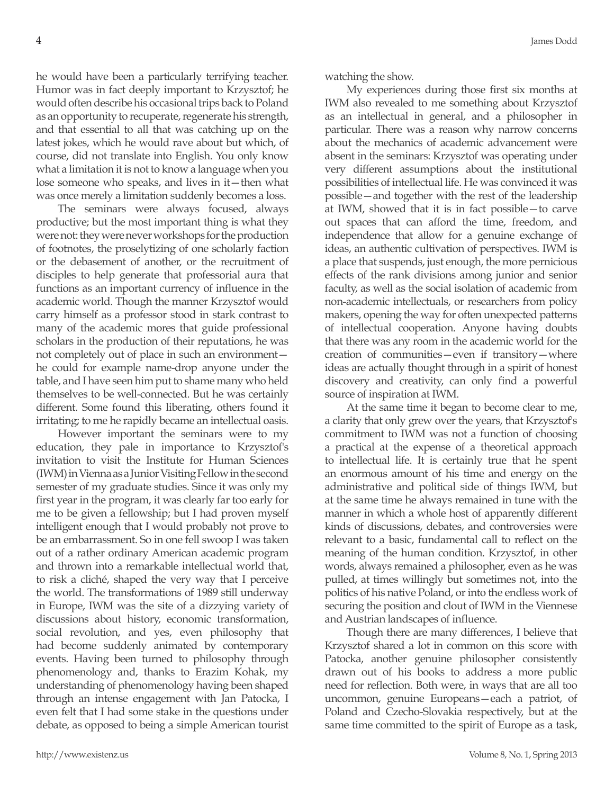he would have been a particularly terrifying teacher. Humor was in fact deeply important to Krzysztof; he would often describe his occasional trips back to Poland as an opportunity to recuperate, regenerate his strength, and that essential to all that was catching up on the latest jokes, which he would rave about but which, of course, did not translate into English. You only know what a limitation it is not to know a language when you lose someone who speaks, and lives in it—then what was once merely a limitation suddenly becomes a loss.

The seminars were always focused, always productive; but the most important thing is what they were not: they were never workshops for the production of footnotes, the proselytizing of one scholarly faction or the debasement of another, or the recruitment of disciples to help generate that professorial aura that functions as an important currency of influence in the academic world. Though the manner Krzysztof would carry himself as a professor stood in stark contrast to many of the academic mores that guide professional scholars in the production of their reputations, he was not completely out of place in such an environment he could for example name-drop anyone under the table, and I have seen him put to shame many who held themselves to be well-connected. But he was certainly different. Some found this liberating, others found it irritating; to me he rapidly became an intellectual oasis.

However important the seminars were to my education, they pale in importance to Krzysztof's invitation to visit the Institute for Human Sciences (IWM) in Vienna as a Junior Visiting Fellow in the second semester of my graduate studies. Since it was only my first year in the program, it was clearly far too early for me to be given a fellowship; but I had proven myself intelligent enough that I would probably not prove to be an embarrassment. So in one fell swoop I was taken out of a rather ordinary American academic program and thrown into a remarkable intellectual world that, to risk a cliché, shaped the very way that I perceive the world. The transformations of 1989 still underway in Europe, IWM was the site of a dizzying variety of discussions about history, economic transformation, social revolution, and yes, even philosophy that had become suddenly animated by contemporary events. Having been turned to philosophy through phenomenology and, thanks to Erazim Kohak, my understanding of phenomenology having been shaped through an intense engagement with Jan Patocka, I even felt that I had some stake in the questions under debate, as opposed to being a simple American tourist watching the show.

My experiences during those first six months at IWM also revealed to me something about Krzysztof as an intellectual in general, and a philosopher in particular. There was a reason why narrow concerns about the mechanics of academic advancement were absent in the seminars: Krzysztof was operating under very different assumptions about the institutional possibilities of intellectual life. He was convinced it was possible—and together with the rest of the leadership at IWM, showed that it is in fact possible—to carve out spaces that can afford the time, freedom, and independence that allow for a genuine exchange of ideas, an authentic cultivation of perspectives. IWM is a place that suspends, just enough, the more pernicious effects of the rank divisions among junior and senior faculty, as well as the social isolation of academic from non-academic intellectuals, or researchers from policy makers, opening the way for often unexpected patterns of intellectual cooperation. Anyone having doubts that there was any room in the academic world for the creation of communities—even if transitory—where ideas are actually thought through in a spirit of honest discovery and creativity, can only find a powerful source of inspiration at IWM.

At the same time it began to become clear to me, a clarity that only grew over the years, that Krzysztof's commitment to IWM was not a function of choosing a practical at the expense of a theoretical approach to intellectual life. It is certainly true that he spent an enormous amount of his time and energy on the administrative and political side of things IWM, but at the same time he always remained in tune with the manner in which a whole host of apparently different kinds of discussions, debates, and controversies were relevant to a basic, fundamental call to reflect on the meaning of the human condition. Krzysztof, in other words, always remained a philosopher, even as he was pulled, at times willingly but sometimes not, into the politics of his native Poland, or into the endless work of securing the position and clout of IWM in the Viennese and Austrian landscapes of influence.

Though there are many differences, I believe that Krzysztof shared a lot in common on this score with Patocka, another genuine philosopher consistently drawn out of his books to address a more public need for reflection. Both were, in ways that are all too uncommon, genuine Europeans—each a patriot, of Poland and Czecho-Slovakia respectively, but at the same time committed to the spirit of Europe as a task,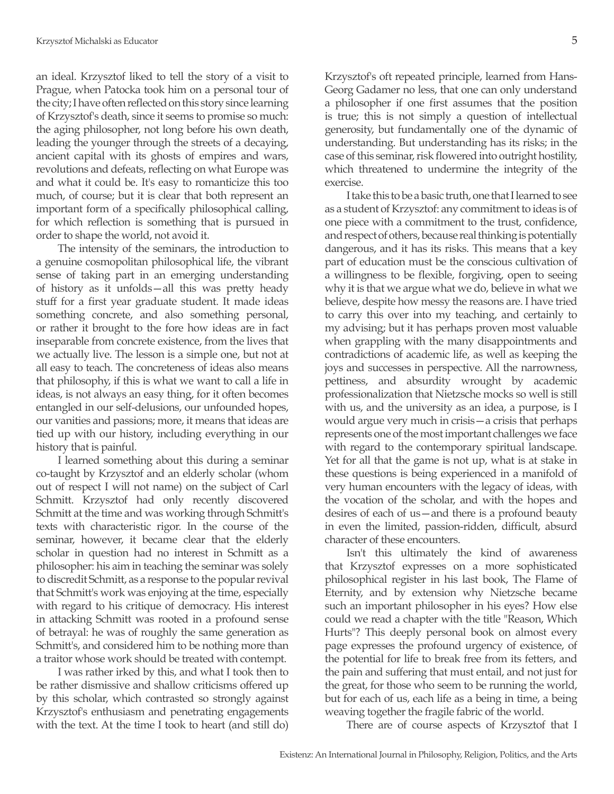an ideal. Krzysztof liked to tell the story of a visit to Prague, when Patocka took him on a personal tour of the city; I have often reflected on this story since learning of Krzysztof's death, since it seems to promise so much: the aging philosopher, not long before his own death, leading the younger through the streets of a decaying, ancient capital with its ghosts of empires and wars, revolutions and defeats, reflecting on what Europe was and what it could be. It's easy to romanticize this too much, of course; but it is clear that both represent an important form of a specifically philosophical calling, for which reflection is something that is pursued in order to shape the world, not avoid it.

The intensity of the seminars, the introduction to a genuine cosmopolitan philosophical life, the vibrant sense of taking part in an emerging understanding of history as it unfolds—all this was pretty heady stuff for a first year graduate student. It made ideas something concrete, and also something personal, or rather it brought to the fore how ideas are in fact inseparable from concrete existence, from the lives that we actually live. The lesson is a simple one, but not at all easy to teach. The concreteness of ideas also means that philosophy, if this is what we want to call a life in ideas, is not always an easy thing, for it often becomes entangled in our self-delusions, our unfounded hopes, our vanities and passions; more, it means that ideas are tied up with our history, including everything in our history that is painful.

I learned something about this during a seminar co-taught by Krzysztof and an elderly scholar (whom out of respect I will not name) on the subject of Carl Schmitt. Krzysztof had only recently discovered Schmitt at the time and was working through Schmitt's texts with characteristic rigor. In the course of the seminar, however, it became clear that the elderly scholar in question had no interest in Schmitt as a philosopher: his aim in teaching the seminar was solely to discredit Schmitt, as a response to the popular revival that Schmitt's work was enjoying at the time, especially with regard to his critique of democracy. His interest in attacking Schmitt was rooted in a profound sense of betrayal: he was of roughly the same generation as Schmitt's, and considered him to be nothing more than a traitor whose work should be treated with contempt.

I was rather irked by this, and what I took then to be rather dismissive and shallow criticisms offered up by this scholar, which contrasted so strongly against Krzysztof's enthusiasm and penetrating engagements with the text. At the time I took to heart (and still do)

Krzysztof's oft repeated principle, learned from Hans-Georg Gadamer no less, that one can only understand a philosopher if one first assumes that the position is true; this is not simply a question of intellectual generosity, but fundamentally one of the dynamic of understanding. But understanding has its risks; in the case of this seminar, risk flowered into outright hostility, which threatened to undermine the integrity of the exercise.

I take this to be a basic truth, one that I learned to see as a student of Krzysztof: any commitment to ideas is of one piece with a commitment to the trust, confidence, and respect of others, because real thinking is potentially dangerous, and it has its risks. This means that a key part of education must be the conscious cultivation of a willingness to be flexible, forgiving, open to seeing why it is that we argue what we do, believe in what we believe, despite how messy the reasons are. I have tried to carry this over into my teaching, and certainly to my advising; but it has perhaps proven most valuable when grappling with the many disappointments and contradictions of academic life, as well as keeping the joys and successes in perspective. All the narrowness, pettiness, and absurdity wrought by academic professionalization that Nietzsche mocks so well is still with us, and the university as an idea, a purpose, is I would argue very much in crisis—a crisis that perhaps represents one of the most important challenges we face with regard to the contemporary spiritual landscape. Yet for all that the game is not up, what is at stake in these questions is being experienced in a manifold of very human encounters with the legacy of ideas, with the vocation of the scholar, and with the hopes and desires of each of us—and there is a profound beauty in even the limited, passion-ridden, difficult, absurd character of these encounters.

Isn't this ultimately the kind of awareness that Krzysztof expresses on a more sophisticated philosophical register in his last book, The Flame of Eternity, and by extension why Nietzsche became such an important philosopher in his eyes? How else could we read a chapter with the title "Reason, Which Hurts"? This deeply personal book on almost every page expresses the profound urgency of existence, of the potential for life to break free from its fetters, and the pain and suffering that must entail, and not just for the great, for those who seem to be running the world, but for each of us, each life as a being in time, a being weaving together the fragile fabric of the world.

There are of course aspects of Krzysztof that I